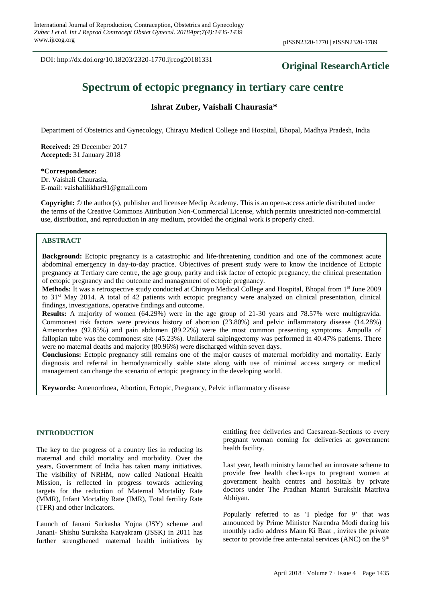DOI: http://dx.doi.org/10.18203/2320-1770.ijrcog20181331

# **Original ResearchArticle**

# **Spectrum of ectopic pregnancy in tertiary care centre**

# **Ishrat Zuber, Vaishali Chaurasia\***

Department of Obstetrics and Gynecology, Chirayu Medical College and Hospital, Bhopal, Madhya Pradesh, India

**Received:** 29 December 2017 **Accepted:** 31 January 2018

**\*Correspondence:** Dr. Vaishali Chaurasia, E-mail: vaishalilikhar91@gmail.com

**Copyright:** © the author(s), publisher and licensee Medip Academy. This is an open-access article distributed under the terms of the Creative Commons Attribution Non-Commercial License, which permits unrestricted non-commercial use, distribution, and reproduction in any medium, provided the original work is properly cited.

### **ABSTRACT**

**Background:** Ectopic pregnancy is a catastrophic and life-threatening condition and one of the commonest acute abdominal emergency in day-to-day practice. Objectives of present study were to know the incidence of Ectopic pregnancy at Tertiary care centre, the age group, parity and risk factor of ectopic pregnancy, the clinical presentation of ectopic pregnancy and the outcome and management of ectopic pregnancy.

**Methods:** It was a retrospective study conducted at Chirayu Medical College and Hospital, Bhopal from 1st June 2009 to 31st May 2014. A total of 42 patients with ectopic pregnancy were analyzed on clinical presentation, clinical findings, investigations, operative findings and outcome.

**Results:** A majority of women (64.29%) were in the age group of 21-30 years and 78.57% were multigravida. Commonest risk factors were previous history of abortion (23.80%) and pelvic inflammatory disease (14.28%) Amenorrhea (92.85%) and pain abdomen (89.22%) were the most common presenting symptoms. Ampulla of fallopian tube was the commonest site (45.23%). Unilateral salpingectomy was performed in 40.47% patients. There were no maternal deaths and majority (80.96%) were discharged within seven days.

**Conclusions:** Ectopic pregnancy still remains one of the major causes of maternal morbidity and mortality. Early diagnosis and referral in hemodynamically stable state along with use of minimal access surgery or medical management can change the scenario of ectopic pregnancy in the developing world.

**Keywords:** Amenorrhoea, Abortion, Ectopic, Pregnancy, Pelvic inflammatory disease

#### **INTRODUCTION**

The key to the progress of a country lies in reducing its maternal and child mortality and [morbidity.](http://www.hindustantimes.com/health-and-fitness/to-tackle-its-maternal-health-crisis-india-needs-more-male-health-workers/story-xSDNu1u26lCWdIzLMZu2UO.html) Over the years, Government of India has taken many initiatives. The visibility of NRHM, now called National Health Mission, is reflected in progress towards achieving targets for the reduction of Maternal Mortality Rate (MMR), Infant Mortality Rate (IMR), Total fertility Rate (TFR) and other indicators.

Launch of Janani Surkasha Yojna (JSY) scheme and Janani- Shishu Suraksha Katyakram (JSSK) in 2011 has further [strengthened](http://www.hindustantimes.com/analysis/india-renewing-commitment-to-end-child-and-maternal-deaths/story-MhpEOvu5n4nedcTtMMgjFN.html) maternal health initiatives by entitling free deliveries and Caesarean-Sections to every pregnant woman coming for deliveries at government health facility.

Last year, heath ministry launched an innovate scheme to provide free health check-ups to pregnant women at government health centres and hospitals by private doctors under The Pradhan Mantri Surakshit Matritva Abhiyan.

Popularly referred to as 'I [pledge](http://www.hindustantimes.com/india-news/govt-launches-scheme-to-provide-free-health-check-ups-to-pregnant-women/story-v2y8cppgYEvlni5sjvqAkO.html) for 9' that was announced by Prime Minister Narendra Modi during his monthly radio address Mann Ki Baat , invites the private sector to provide free ante-natal services (ANC) on the  $9<sup>th</sup>$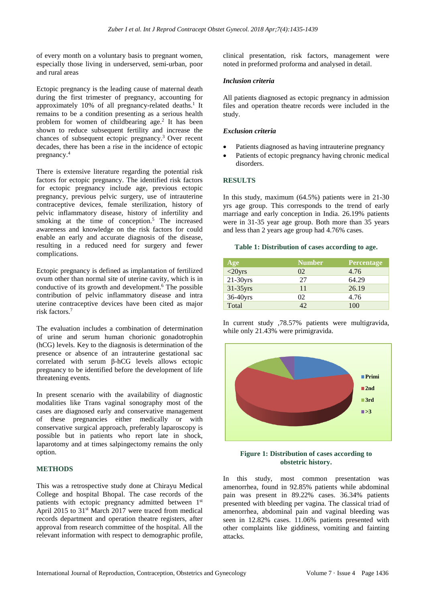of every month on a voluntary basis to pregnant women, especially those living in underserved, semi-urban, poor and rural areas

Ectopic pregnancy is the leading cause of maternal death during the first trimester of pregnancy, accounting for approximately 10% of all pregnancy-related deaths.<sup>1</sup> It remains to be a condition presenting as a serious health problem for women of childbearing age. 2 It has been shown to reduce subsequent fertility and increase the chances of subsequent ectopic pregnancy. <sup>3</sup> Over recent decades, there has been a rise in the incidence of ectopic pregnancy. 4

There is extensive literature regarding the potential risk factors for ectopic pregnancy. The identified risk factors for ectopic pregnancy include age, previous ectopic pregnancy, previous pelvic surgery, use of intrauterine contraceptive devices, female sterilization, history of pelvic inflammatory disease, history of infertility and smoking at the time of conception. <sup>5</sup> The increased awareness and knowledge on the risk factors for could enable an early and accurate diagnosis of the disease, resulting in a reduced need for surgery and fewer complications.

Ectopic pregnancy is defined as implantation of fertilized ovum other than normal site of uterine cavity, which is in conductive of its growth and development. <sup>6</sup> The possible contribution of pelvic inflammatory disease and intra uterine contraceptive devices have been cited as major risk factors.<sup>7</sup>

The evaluation includes a combination of determination of urine and serum human chorionic gonadotrophin (hCG) levels. Key to the diagnosis is determination of the presence or absence of an intrauterine gestational sac correlated with serum β-hCG levels allows ectopic pregnancy to be identified before the development of life threatening events.

In present scenario with the availability of diagnostic modalities like Trans vaginal sonography most of the cases are diagnosed early and conservative management of these pregnancies either medically or with conservative surgical approach, preferably laparoscopy is possible but in patients who report late in shock, laparotomy and at times salpingectomy remains the only option.

# **METHODS**

This was a retrospective study done at Chirayu Medical College and hospital Bhopal. The case records of the patients with ectopic pregnancy admitted between 1st April 2015 to 31<sup>st</sup> March 2017 were traced from medical records department and operation theatre registers, after approval from research committee of the hospital. All the relevant information with respect to demographic profile, clinical presentation, risk factors, management were noted in preformed proforma and analysed in detail.

#### *Inclusion criteria*

All patients diagnosed as ectopic pregnancy in admission files and operation theatre records were included in the study.

#### *Exclusion criteria*

- Patients diagnosed as having intrauterine pregnancy
- Patients of ectopic pregnancy having chronic medical disorders.

### **RESULTS**

In this study, maximum (64.5%) patients were in 21-30 yrs age group. This corresponds to the trend of early marriage and early conception in India. 26.19% patients were in 31-35 year age group. Both more than 35 years and less than 2 years age group had 4.76% cases.

#### **Table 1: Distribution of cases according to age.**

| Age        | <b>Number</b> | <b>Percentage</b> |
|------------|---------------|-------------------|
| $<$ 20yrs  | 02            | 4.76              |
| $21-30yrs$ | 27            | 64.29             |
| 31-35yrs   | 11            | 26.19             |
| 36-40yrs   | 02            | 4.76              |
| Total      | 42            | 100               |

In current study ,78.57% patients were multigravida, while only 21.43% were primigravida.



#### **Figure 1: Distribution of cases according to obstetric history.**

In this study, most common presentation was amenorrhea, found in 92.85% patients while abdominal pain was present in 89.22% cases. 36.34% patients presented with bleeding per vagina. The classical triad of amenorrhea, abdominal pain and vaginal bleeding was seen in 12.82% cases. 11.06% patients presented with other complaints like giddiness, vomiting and fainting attacks.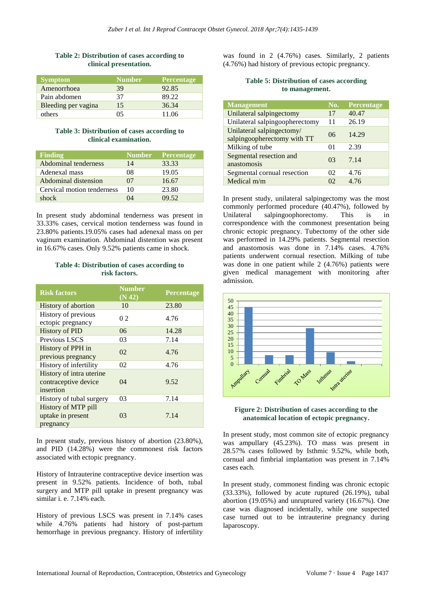### **Table 2: Distribution of cases according to clinical presentation.**

| <b>Symptom</b>      | <b>Number</b> | <b>Percentage</b> |
|---------------------|---------------|-------------------|
| Amenorrhoea         | 39            | 92.85             |
| Pain abdomen        | 37            | 89.22             |
| Bleeding per vagina | 15            | 36.34             |
| others              | 05            | 11.06             |

#### **Table 3: Distribution of cases according to clinical examination.**

| <b>Finding</b>              | <b>Number</b> | <b>Percentage</b> |
|-----------------------------|---------------|-------------------|
| <b>Abdominal tenderness</b> | 14            | 33.33             |
| Adenexal mass               | 08            | 19.05             |
| Abdominal distension        | 07            | 16.67             |
| Cervical motion tenderness  | 10            | 23.80             |
| shock                       | 14            | 09.52             |

In present study abdominal tenderness was present in 33.33% cases, cervical motion tenderness was found in 23.80% patients.19.05% cases had adenexal mass on per vaginum examination. Abdominal distention was present in 16.67% cases. Only 9.52% patients came in shock.

# **Table 4: Distribution of cases according to risk factors.**

| <b>Risk factors</b>                                           | <b>Number</b><br>(N 42) | Percentage |
|---------------------------------------------------------------|-------------------------|------------|
| History of abortion                                           | 10                      | 23.80      |
| History of previous<br>ectopic pregnancy                      | 0 <sub>2</sub>          | 4.76       |
| <b>History of PID</b>                                         | 06                      | 14.28      |
| Previous LSCS                                                 | 03                      | 7.14       |
| History of PPH in<br>previous pregnancy                       | 02                      | 4.76       |
| History of infertility                                        | 02                      | 4.76       |
| History of intra uterine<br>contraceptive device<br>insertion | 04                      | 9.52       |
| History of tubal surgery                                      | 03                      | 7.14       |
| History of MTP pill<br>uptake in present<br>pregnancy         | 03                      | 7.14       |

In present study, previous history of abortion (23.80%), and PID (14.28%) were the commonest risk factors associated with ectopic pregnancy.

History of Intrauterine contraceptive device insertion was present in 9.52% patients. Incidence of both, tubal surgery and MTP pill uptake in present pregnancy was similar i. e. 7.14% each.

History of previous LSCS was present in 7.14% cases while 4.76% patients had history of post-partum hemorrhage in previous pregnancy. History of infertility was found in 2 (4.76%) cases. Similarly, 2 patients (4.76%) had history of previous ectopic pregnancy.

#### **Table 5: Distribution of cases according to management.**

| Management                                               | No. | Percentage |
|----------------------------------------------------------|-----|------------|
| Unilateral salpingectomy                                 | 17  | 40.47      |
| Unilateral salpingoopherectomy                           | 11  | 26.19      |
| Unilateral salpingectomy/<br>salpingoopherectomy with TT | 06  | 14.29      |
| Milking of tube                                          | 01  | 2.39       |
| Segmental resection and<br>anastomosis                   | 03  | 7.14       |
| Segmental cornual resection                              | 02  | 4.76       |
| Medical $m/m$                                            | 02  | 4.76       |

In present study, unilateral salpingectomy was the most commonly performed procedure (40.47%), followed by Unilateral salpingoophorectomy. This is in correspondence with the commonest presentation being chronic ectopic pregnancy. Tubectomy of the other side was performed in 14.29% patients. Segmental resection and anastomosis was done in 7.14% cases. 4.76% patients underwent cornual resection. Milking of tube was done in one patient while 2 (4.76%) patients were given medical management with monitoring after admission.



### **Figure 2: Distribution of cases according to the anatomical location of ectopic pregnancy.**

In present study, most common site of ectopic pregnancy was ampullary (45.23%). TO mass was present in 28.57% cases followed by Isthmic 9.52%, while both, cornual and fimbrial implantation was present in 7.14% cases each.

In present study, commonest finding was chronic ectopic (33.33%), followed by acute ruptured (26.19%), tubal abortion (19.05%) and unruptured variety (16.67%). One case was diagnosed incidentally, while one suspected case turned out to be intrauterine pregnancy during laparoscopy.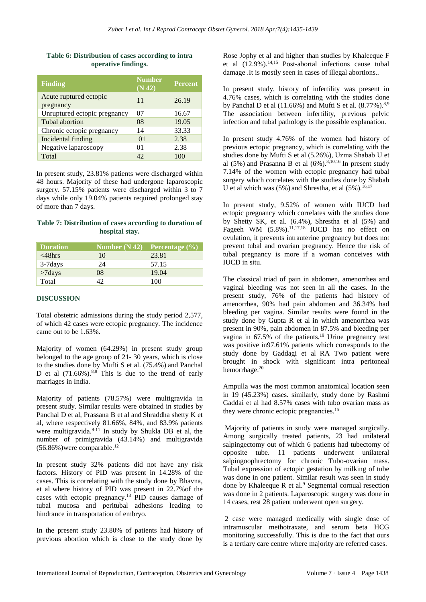#### **Table 6: Distribution of cases according to intra operative findings.**

| <b>Finding</b>                      | <b>Number</b><br>(N 42) | <b>Percent</b> |
|-------------------------------------|-------------------------|----------------|
| Acute ruptured ectopic<br>pregnancy | 11                      | 26.19          |
| Unruptured ectopic pregnancy        | 07                      | 16.67          |
| Tubal abortion                      | 08                      | 19.05          |
| Chronic ectopic pregnancy           | 14                      | 33.33          |
| Incidental finding                  | 01                      | 2.38           |
| Negative laparoscopy                | 01                      | 2.38           |
| Total                               | 42                      | 100            |

In present study, 23.81% patients were discharged within 48 hours. Majority of these had undergone laparoscopic surgery. 57.15% patients were discharged within 3 to 7 days while only 19.04% patients required prolonged stay of more than 7 days.

# **Table 7: Distribution of cases according to duration of hospital stay.**

| <b>Duration</b> | Number $(N 42)$ | <b>Percentage</b> $(\%)$ |
|-----------------|-----------------|--------------------------|
| $\leq$ 48hrs    | 10              | 23.81                    |
| $3-7$ days      | 24              | 57.15                    |
| $>7$ days       | 08              | 19.04                    |
| Total           | 12              | 100                      |

## **DISCUSSION**

Total obstetric admissions during the study period 2,577, of which 42 cases were ectopic pregnancy. The incidence came out to be 1.63%.

Majority of women (64.29%) in present study group belonged to the age group of 21- 30 years, which is close to the studies done by Mufti S et al. (75.4%) and Panchal D et al  $(71.66\%)$ .<sup>8,9</sup> This is due to the trend of early marriages in India.

Majority of patients (78.57%) were multigravida in present study. Similar results were obtained in studies by Panchal D et al, Prassana B et al and Shraddha shetty K et al, where respectively 81.66%, 84%, and 83.9% patients were multigravida. $9-11$  In study by Shukla DB et al, the number of primigravida (43.14%) and multigravida  $(56.86\%)$ were comparable.<sup>12</sup>

In present study 32% patients did not have any risk factors. History of PID was present in 14.28% of the cases. This is correlating with the study done by Bhavna, et al where history of PID was present in 22.7%of the cases with ectopic pregnancy.<sup>13</sup> PID causes damage of tubal mucosa and peritubal adhesions leading to hindrance in transportation of embryo.

In the present study 23.80% of patients had history of previous abortion which is close to the study done by Rose Jophy et al and higher than studies by Khaleeque F et al  $(12.9\%)$ <sup>14,15</sup> Post-abortal infections cause tubal damage .It is mostly seen in cases of illegal abortions..

In present study, history of infertility was present in 4.76% cases, which is correlating with the studies done by Panchal D et al  $(11.66\%)$  and Mufti S et al.  $(8.77\%)$ .<sup>8,9</sup> The association between infertility, previous pelvic infection and tubal pathology is the possible explanation.

In present study 4.76% of the women had history of previous ectopic pregnancy, which is correlating with the studies done by Mufti S et al (5.26%), Uzma Shabab U et al (5%) and Prasanna B et al (6%).<sup>8,10,16</sup> In present study 7.14% of the women with ectopic pregnancy had tubal surgery which correlates with the studies done by Shabab U et al which was  $(5%)$  and Shrestha, et al  $(5%)$ .<sup>16,17</sup>

In present study, 9.52% of women with IUCD had ectopic pregnancy which correlates with the studies done by Shetty SK, et al. (6.4%), Shrestha et al (5%) and Fageeh WM  $(5.8\%)$ .<sup>11,17,18</sup> IUCD has no effect on ovulation, it prevents intrauterine pregnancy but does not prevent tubal and ovarian pregnancy. Hence the risk of tubal pregnancy is more if a woman conceives with IUCD in situ.

The classical triad of pain in abdomen, amenorrhea and vaginal bleeding was not seen in all the cases. In the present study, 76% of the patients had history of amenorrhea, 90% had pain abdomen and 36.34% had bleeding per vagina. Similar results were found in the study done by Gupta R et al in which amenorrhea was present in 90%, pain abdomen in 87.5% and bleeding per vagina in  $67.5\%$  of the patients.<sup>19</sup> Urine pregnancy test was positive in97.61% patients which corresponds to the study done by Gaddagi et al RA Two patient were brought in shock with significant intra peritoneal hemorrhage.<sup>20</sup>

Ampulla was the most common anatomical location seen in 19 (45.23%) cases. similarly, study done by Rashmi Gaddai et al had 8.57% cases with tubo ovarian mass as they were chronic ectopic pregnancies.<sup>15</sup>

Majority of patients in study were managed surgically. Among surgically treated patients, 23 had unilateral salpingectomy out of which 6 patients had tubectomy of opposite tube. 11 patients underwent unilateral salpingoophrectomy for chronic Tubo-ovarian mass. Tubal expression of ectopic gestation by milking of tube was done in one patient. Similar result was seen in study done by Khaleeque R et al. $9$  Segmental cornual resection was done in 2 patients. Laparoscopic surgery was done in 14 cases, rest 28 patient underwent open surgery.

2 case were managed medically with single dose of intramuscular methotraxate, and serum beta HCG monitoring successfully. This is due to the fact that ours is a tertiary care centre where majority are referred cases.